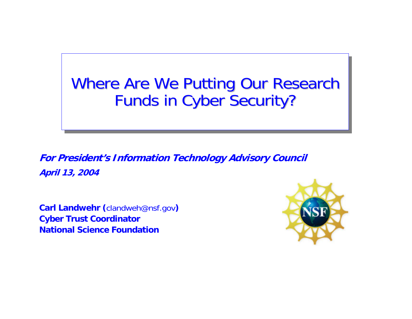### Where Are We Putting Our Research Funds in Cyber Security?

**For President's Information Technology Advisory Council April 13, 2004**

**Carl Landwehr (**clandweh@nsf.gov**) Cyber Trust Coordinator National Science Foundation**

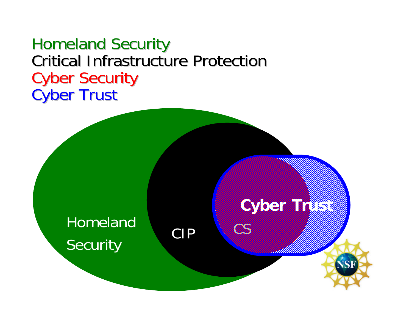#### **Homeland Security** Critical Infrastructure Protection **Cyber Security Cyber Trust**



**NSF** 

**OS** 

#### HomelandSecurity CIP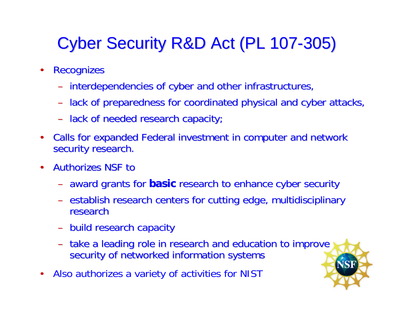## Cyber Security R&D Act (PL 107-305)

- $\bullet$ **Recognizes** 
	- –- interdependencies of cyber and other infrastructures,
	- –– lack of preparedness for coordinated physical and cyber attacks,
	- lack of needed research capacity;
- $\bullet$ Calls for expanded Federal investment in computer and network security research.
- •**Authorizes NSF to** 
	- –award grants for award grants for **basic** research to enhance cyber security research to enhance cyber security
	- –establish research centers for cutting edge, multidisciplinary research
	- build research capacity
	- – $-$  take a leading role in research and education to improve  $\overline{\phantom{\alpha}}$ security of networked information systems
- •Also authorizes a variety of activities for NIST

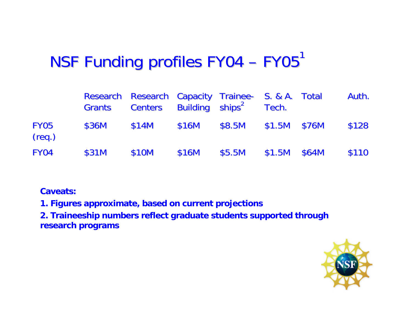#### NSF Funding profiles FY04 NSF  $\overline{\phantom{a}}$ –  $FY05$ <sup>1</sup>

|                       | Grants Centers Building ships <sup>2</sup> Tech. | Research Research Capacity Trainee- S. & A. Total |       |                        |  | Auth. |
|-----------------------|--------------------------------------------------|---------------------------------------------------|-------|------------------------|--|-------|
| <b>FY05</b><br>(req.) | \$36M                                            | \$14M                                             | \$16M | \$8.5M \$1.5M \$76M    |  | \$128 |
| <b>FY04</b>           | \$31M                                            | \$10M                                             | \$16M | $$5.5M$ $$1.5M$ $$64M$ |  | \$110 |

#### **Caveats:**

**1. Figures approximate, based on current projections**

**2. Traineeship numbers reflect graduate students supported through res earch programs**

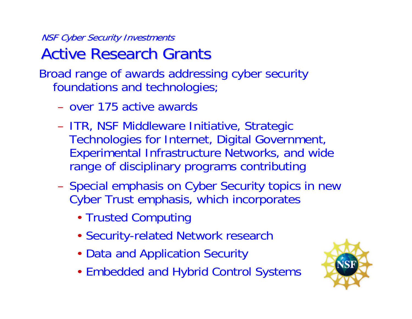NSF Cyber Security Investments **Active Research Grants** 

Broad range of awards addressing cyber security foundations and technologies;

- over 175 active awards
- –- ITR, NSF Middleware Initiative, Strategic Technologies for Internet, Digital Government, Experimental Infrastructure Networks, and wide range of disciplinary programs contributing
- –- Special emphasis on Cyber Security topics in new Cyber Trust emphasis, which incorporates
	- Trusted Computing
	- Security-related Network research
	- Data and Application Security
	- Embedded and Hybrid Control Systems

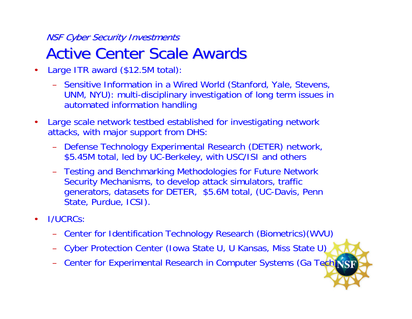#### **NSF Cyber Security Investments Active Center Scale Awards**

- • Large ITR award (\$12.5M total):
	- Sensitive Information in a Wired World (Stanford, Yale, Stevens, UNM, NYU): multi-disciplinary investigation of long term issues in automated information handling
- •• Large scale network testbed established for investigating network attacks, with major support from DHS:
	- Defense Technology Experimental Research (DETER) network, \$5.45M total, led by UC-Berkeley, with USC/ISI and others
	- Testing and Benchmarking Methodologies for Future Network Security Mechanisms, to develop attack simulators, traffic generators, datasets for DETER, \$ 5.6M total, (UC-Davis, Penn State, Purdue, ICSI).
- • I/UCRCs:
	- Center for Identification Technology Research (Biometrics)(WVU)
	- Cyber Protection Center (Iowa State U, U Kansas, Miss State U)
	- –– Center for Experimental Research in Computer Systems (Ga Tech)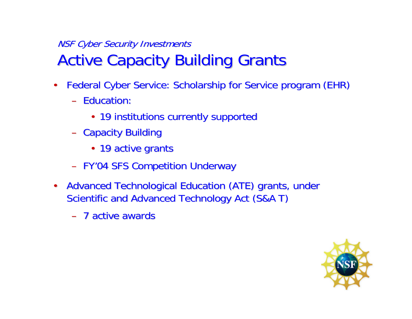#### NSF Cyber Security Investments **Active Capacity Building Grants**

- •Federal Cyber Service: Scholarship for Service program (EHR)
	- Education:
		- 19 institutions currently supported
	- –– Capacity Building
		- 19 active grants
	- –- FY'04 SFS Competition Underway
- •Advanced Technological Education (ATE) grants, under Scientific and Advanced Technology Act (S&A T)
	- 7 active awards

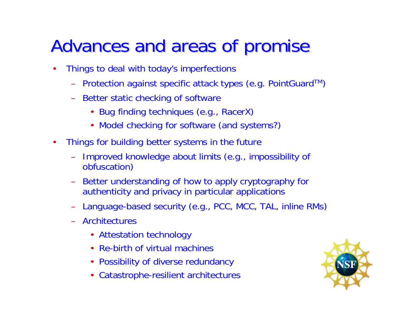# Advances and areas of promise

- • Things to deal with today's imperfections
	- Protection against specific attack types (e.g. PointGuardTM)
	- Better static checking of software
		- Bug finding techniques (e.g., RacerX)
		- Model checking for software (and systems?)
- $\bullet$ • Things for building better systems in the future
	- – Improved knowledge about limits (e.g., impossibility of obfuscation)
	- – Better understanding of how to apply cryptography for authenticity and privacy in particular applications
	- Language-based security (e.g., PCC, MCC, TAL, inline R Ms)
	- Architectures
		- Attestation technology
		- Re-birth of virtual machines
		- Possibility of diverse redundancy
		- Catastrophe-resilient architectures

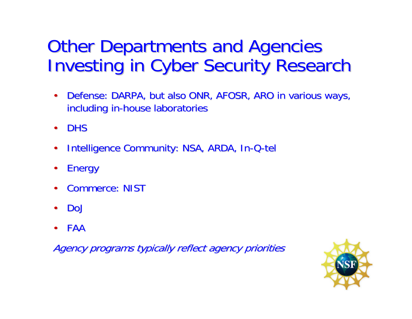# **Other Departments and Agencies Investing in Cyber Security Research**

- •Defense: DARPA, but also ONR, AFOSR, ARO in various ways, including in-house laboratories
- •**DHS**
- •• Intelligence Community: NSA, ARDA, In -Q-tel
- •**Energy**
- •• Commerce: NIST
- •DoJ
- •FAA

Agency programs typically reflect agency priorities

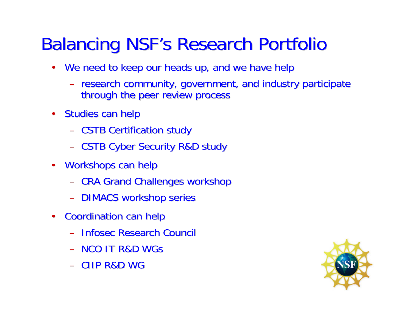# **Balancing NSF's Research Portfolio**

- •We need to keep our heads up, and we have help
	- –- research community, government, and industry participate through the peer review process
- $\bullet$ Studies can help
	- –**- CSTB Certification study**
	- CSTB Cyber Security R&D study
- $\bullet$ Workshops can help
	- –- CRA Grand Challenges workshop
	- –- DIMACS workshop series
- $\bullet$  Coordination can help Coordination can help
	- Infosec Infosec Research Council Research Council
	- NCO IT R&D WGs
	- CIIP R&D WG

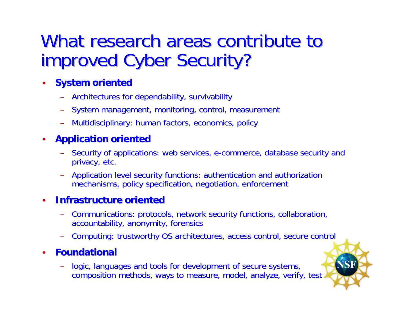## What research areas contribute to improved Cyber Security?

- $\bullet$  **System oriented System oriented**
	- –Architectures for dependability, survivability Architectures for dependability, survivability
	- –System management, monitoring, control, measurement
	- Multidisciplinary: human factors, economics, policy

#### $\bullet$ **Application oriented**

- Security of applications: web services, e-commerce, database security and privacy, etc.
- –Application level security functions: authentication and authorization mechanisms, policy specification, negotiation, enforcement

#### $\bullet$ **Infrastructure oriented Infrastructure oriented**

- –Communications: protocols, network security functions, collaboration, accountability, anonymity, forensics
- –- Computing: trustworthy OS architectures, access control, secure control

#### $\bullet$ **Foundational Foundational**

– logic, languages and tools for development of secure systems, composition methods, ways to measure, model, analyze, verify, test

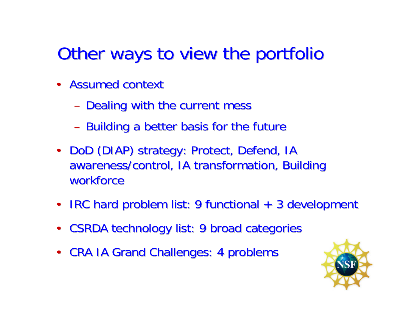# Other ways to view the portfolio

- Assumed context
	- –- Dealing with the current mess
	- –- Building a better basis for the future
- DoD (DIAP) strategy: Protect, Defend, IA awareness/control, IA transformation, Building workforce
- IRC hard problem list: 9 functional + 3 development
- $\bullet$ CSRDA technology list: 9 broad categories
- CRA IA Grand Challenges: 4 problems

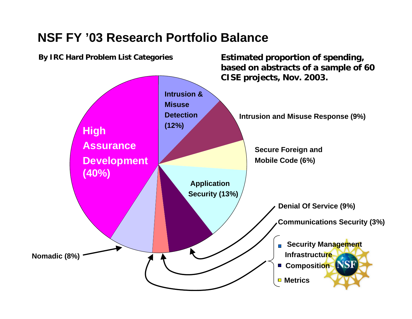#### **NSF FY '03 Research Portfolio Balance**

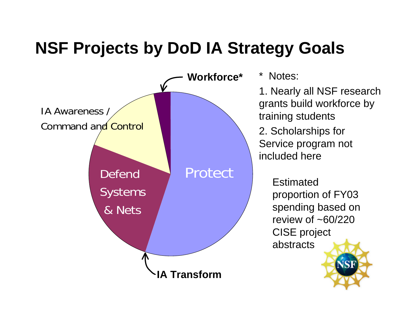## **NSF Projects by DoD IA Strategy Goals**



\* Notes:

1. Nearly all NSF research grants build workforce by training students

2. Scholarships for Service program not included here

> **Estimated** proportion of FY03 spending based on review of  $\sim 60/220$ CISE project abstracts